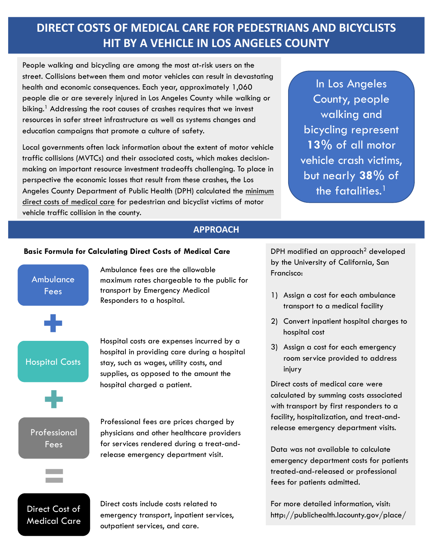# **DIRECT COSTS OF MEDICAL CARE FOR PEDESTRIANS AND BICYCLISTS HIT BY A VEHICLE IN LOS ANGELES COUNTY**

People walking and bicycling are among the most at-risk users on the street. Collisions between them and motor vehicles can result in devastating health and economic consequences. Each year, approximately 1,060 people die or are severely injured in Los Angeles County while walking or biking.<sup>1</sup> Addressing the root causes of crashes requires that we invest resources in safer street infrastructure as well as systems changes and education campaigns that promote a culture of safety.

Local governments often lack information about the extent of motor vehicle traffic collisions (MVTCs) and their associated costs, which makes decisionmaking on important resource investment tradeoffs challenging. To place in perspective the economic losses that result from these crashes, the Los Angeles County Department of Public Health (DPH) calculated the minimum direct costs of medical care for pedestrian and bicyclist victims of motor vehicle traffic collision in the county.

In Los Angeles County, people walking and bicycling represent **13%** of all motor vehicle crash victims, but nearly **38%** of the fatalities.<sup>1</sup>

## **APPROACH**

### **Basic Formula for Calculating Direct Costs of Medical Care**



Direct costs include costs related to emergency transport, inpatient services, outpatient services, and care.

DPH modified an approach<sup>2</sup> developed by the University of California, San Francisco:

- 1) Assign a cost for each ambulance transport to a medical facility
- 2) Convert inpatient hospital charges to hospital cost
- 3) Assign a cost for each emergency room service provided to address injury

Direct costs of medical care were calculated by summing costs associated with transport by first responders to a facility, hospitalization, and treat-andrelease emergency department visits.

Data was not available to calculate emergency department costs for patients treated-and-released or professional fees for patients admitted.

For more detailed information, visit: http://publichealth.lacounty.gov/place/